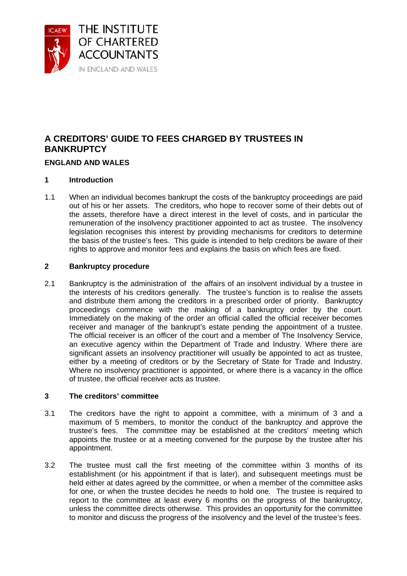

# **A CREDITORS' GUIDE TO FEES CHARGED BY TRUSTEES IN BANKRUPTCY**

## **ENGLAND AND WALES**

## **1 Introduction**

1.1 When an individual becomes bankrupt the costs of the bankruptcy proceedings are paid out of his or her assets. The creditors, who hope to recover some of their debts out of the assets, therefore have a direct interest in the level of costs, and in particular the remuneration of the insolvency practitioner appointed to act as trustee. The insolvency legislation recognises this interest by providing mechanisms for creditors to determine the basis of the trustee's fees. This guide is intended to help creditors be aware of their rights to approve and monitor fees and explains the basis on which fees are fixed.

## **2 Bankruptcy procedure**

2.1 Bankruptcy is the administration of the affairs of an insolvent individual by a trustee in the interests of his creditors generally. The trustee's function is to realise the assets and distribute them among the creditors in a prescribed order of priority. Bankruptcy proceedings commence with the making of a bankruptcy order by the court. Immediately on the making of the order an official called the official receiver becomes receiver and manager of the bankrupt's estate pending the appointment of a trustee. The official receiver is an officer of the court and a member of The Insolvency Service, an executive agency within the Department of Trade and Industry. Where there are significant assets an insolvency practitioner will usually be appointed to act as trustee, either by a meeting of creditors or by the Secretary of State for Trade and Industry. Where no insolvency practitioner is appointed, or where there is a vacancy in the office of trustee, the official receiver acts as trustee.

## **3 The creditors' committee**

- 3.1 The creditors have the right to appoint a committee, with a minimum of 3 and a maximum of 5 members, to monitor the conduct of the bankruptcy and approve the trustee's fees. The committee may be established at the creditors' meeting which appoints the trustee or at a meeting convened for the purpose by the trustee after his appointment.
- 3.2 The trustee must call the first meeting of the committee within 3 months of its establishment (or his appointment if that is later), and subsequent meetings must be held either at dates agreed by the committee, or when a member of the committee asks for one, or when the trustee decides he needs to hold one. The trustee is required to report to the committee at least every 6 months on the progress of the bankruptcy, unless the committee directs otherwise. This provides an opportunity for the committee to monitor and discuss the progress of the insolvency and the level of the trustee's fees.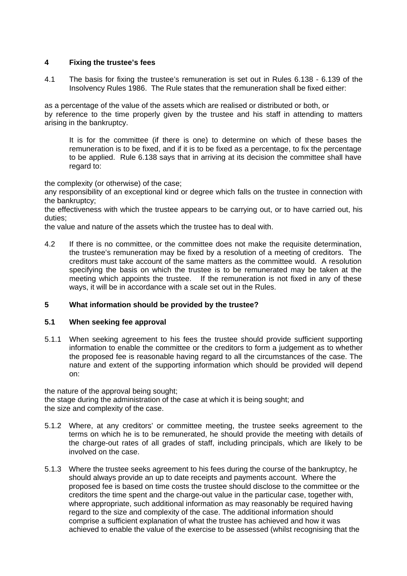## **4 Fixing the trustee's fees**

4.1 The basis for fixing the trustee's remuneration is set out in Rules 6.138 - 6.139 of the Insolvency Rules 1986. The Rule states that the remuneration shall be fixed either:

as a percentage of the value of the assets which are realised or distributed or both, or by reference to the time properly given by the trustee and his staff in attending to matters arising in the bankruptcy.

 It is for the committee (if there is one) to determine on which of these bases the remuneration is to be fixed, and if it is to be fixed as a percentage, to fix the percentage to be applied. Rule 6.138 says that in arriving at its decision the committee shall have regard to:

the complexity (or otherwise) of the case;

any responsibility of an exceptional kind or degree which falls on the trustee in connection with the bankruptcy;

the effectiveness with which the trustee appears to be carrying out, or to have carried out, his duties;

the value and nature of the assets which the trustee has to deal with.

4.2 If there is no committee, or the committee does not make the requisite determination, the trustee's remuneration may be fixed by a resolution of a meeting of creditors. The creditors must take account of the same matters as the committee would. A resolution specifying the basis on which the trustee is to be remunerated may be taken at the meeting which appoints the trustee. If the remuneration is not fixed in any of these ways, it will be in accordance with a scale set out in the Rules.

## **5 What information should be provided by the trustee?**

#### **5.1 When seeking fee approval**

5.1.1 When seeking agreement to his fees the trustee should provide sufficient supporting information to enable the committee or the creditors to form a judgement as to whether the proposed fee is reasonable having regard to all the circumstances of the case. The nature and extent of the supporting information which should be provided will depend on:

the nature of the approval being sought; the stage during the administration of the case at which it is being sought; and the size and complexity of the case.

- 5.1.2 Where, at any creditors' or committee meeting, the trustee seeks agreement to the terms on which he is to be remunerated, he should provide the meeting with details of the charge-out rates of all grades of staff, including principals, which are likely to be involved on the case.
- 5.1.3 Where the trustee seeks agreement to his fees during the course of the bankruptcy, he should always provide an up to date receipts and payments account. Where the proposed fee is based on time costs the trustee should disclose to the committee or the creditors the time spent and the charge-out value in the particular case, together with, where appropriate, such additional information as may reasonably be required having regard to the size and complexity of the case. The additional information should comprise a sufficient explanation of what the trustee has achieved and how it was achieved to enable the value of the exercise to be assessed (whilst recognising that the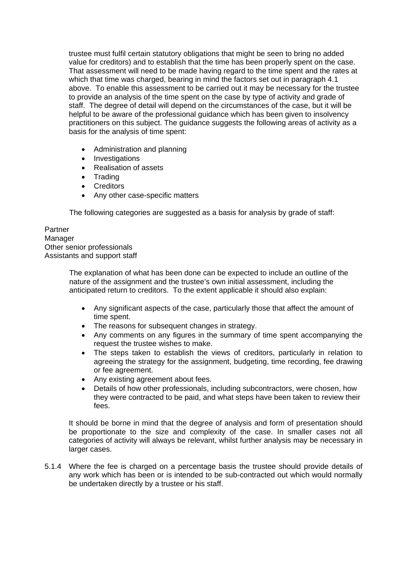trustee must fulfil certain statutory obligations that might be seen to bring no added value for creditors) and to establish that the time has been properly spent on the case. That assessment will need to be made having regard to the time spent and the rates at which that time was charged, bearing in mind the factors set out in paragraph 4.1 above. To enable this assessment to be carried out it may be necessary for the trustee to provide an analysis of the time spent on the case by type of activity and grade of staff. The degree of detail will depend on the circumstances of the case, but it will be helpful to be aware of the professional guidance which has been given to insolvency practitioners on this subject. The guidance suggests the following areas of activity as a basis for the analysis of time spent:

- Administration and planning
- Investigations
- Realisation of assets
- Trading
- Creditors
- Any other case-specific matters

The following categories are suggested as a basis for analysis by grade of staff:

Partner Manager Other senior professionals Assistants and support staff

> The explanation of what has been done can be expected to include an outline of the nature of the assignment and the trustee's own initial assessment, including the anticipated return to creditors. To the extent applicable it should also explain:

- Any significant aspects of the case, particularly those that affect the amount of time spent.
- The reasons for subsequent changes in strategy.
- Any comments on any figures in the summary of time spent accompanying the request the trustee wishes to make.
- The steps taken to establish the views of creditors, particularly in relation to agreeing the strategy for the assignment, budgeting, time recording, fee drawing or fee agreement.
- Any existing agreement about fees.
- Details of how other professionals, including subcontractors, were chosen, how they were contracted to be paid, and what steps have been taken to review their fees.

It should be borne in mind that the degree of analysis and form of presentation should be proportionate to the size and complexity of the case. In smaller cases not all categories of activity will always be relevant, whilst further analysis may be necessary in larger cases.

5.1.4 Where the fee is charged on a percentage basis the trustee should provide details of any work which has been or is intended to be sub-contracted out which would normally be undertaken directly by a trustee or his staff.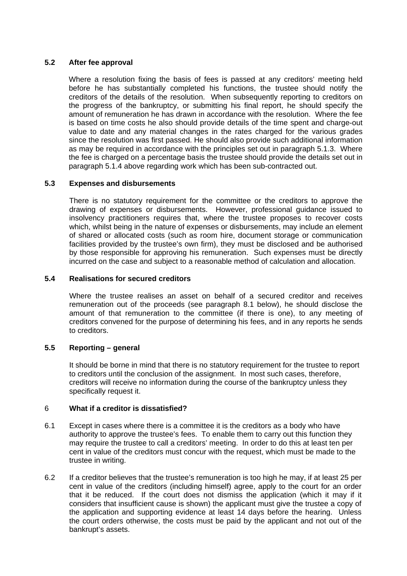## **5.2 After fee approval**

 Where a resolution fixing the basis of fees is passed at any creditors' meeting held before he has substantially completed his functions, the trustee should notify the creditors of the details of the resolution. When subsequently reporting to creditors on the progress of the bankruptcy, or submitting his final report, he should specify the amount of remuneration he has drawn in accordance with the resolution. Where the fee is based on time costs he also should provide details of the time spent and charge-out value to date and any material changes in the rates charged for the various grades since the resolution was first passed. He should also provide such additional information as may be required in accordance with the principles set out in paragraph 5.1.3. Where the fee is charged on a percentage basis the trustee should provide the details set out in paragraph 5.1.4 above regarding work which has been sub-contracted out.

## **5.3 Expenses and disbursements**

There is no statutory requirement for the committee or the creditors to approve the drawing of expenses or disbursements. However, professional guidance issued to insolvency practitioners requires that, where the trustee proposes to recover costs which, whilst being in the nature of expenses or disbursements, may include an element of shared or allocated costs (such as room hire, document storage or communication facilities provided by the trustee's own firm), they must be disclosed and be authorised by those responsible for approving his remuneration. Such expenses must be directly incurred on the case and subject to a reasonable method of calculation and allocation.

## **5.4 Realisations for secured creditors**

Where the trustee realises an asset on behalf of a secured creditor and receives remuneration out of the proceeds (see paragraph 8.1 below), he should disclose the amount of that remuneration to the committee (if there is one), to any meeting of creditors convened for the purpose of determining his fees, and in any reports he sends to creditors.

## **5.5 Reporting – general**

It should be borne in mind that there is no statutory requirement for the trustee to report to creditors until the conclusion of the assignment. In most such cases, therefore, creditors will receive no information during the course of the bankruptcy unless they specifically request it.

## 6 **What if a creditor is dissatisfied?**

- 6.1 Except in cases where there is a committee it is the creditors as a body who have authority to approve the trustee's fees. To enable them to carry out this function they may require the trustee to call a creditors' meeting. In order to do this at least ten per cent in value of the creditors must concur with the request, which must be made to the trustee in writing.
- 6.2 If a creditor believes that the trustee's remuneration is too high he may, if at least 25 per cent in value of the creditors (including himself) agree, apply to the court for an order that it be reduced. If the court does not dismiss the application (which it may if it considers that insufficient cause is shown) the applicant must give the trustee a copy of the application and supporting evidence at least 14 days before the hearing. Unless the court orders otherwise, the costs must be paid by the applicant and not out of the bankrupt's assets.